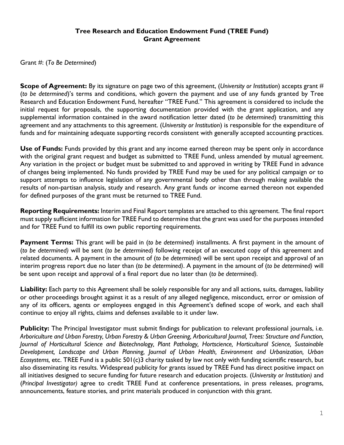## **Tree Research and Education Endowment Fund (TREE Fund) Grant Agreement**

Grant #: (*To Be Determined*)

**Scope of Agreement:** By its signature on page two of this agreement, (*University or Institution*) accepts grant # (*to be determined*)'s terms and conditions, which govern the payment and use of any funds granted by Tree Research and Education Endowment Fund, hereafter "TREE Fund." This agreement is considered to include the initial request for proposals, the supporting documentation provided with the grant application, and any supplemental information contained in the award notification letter dated (*to be determined*) transmitting this agreement and any attachments to this agreement. (*University or Institution*) is responsible for the expenditure of funds and for maintaining adequate supporting records consistent with generally accepted accounting practices.

**Use of Funds:** Funds provided by this grant and any income earned thereon may be spent only in accordance with the original grant request and budget as submitted to TREE Fund, unless amended by mutual agreement. Any variation in the project or budget must be submitted to and approved in writing by TREE Fund in advance of changes being implemented. No funds provided by TREE Fund may be used for any political campaign or to support attempts to influence legislation of any governmental body other than through making available the results of non-partisan analysis, study and research. Any grant funds or income earned thereon not expended for defined purposes of the grant must be returned to TREE Fund.

**Reporting Requirements:** Interim and Final Report templates are attached to this agreement. The final report must supply sufficient information for TREE Fund to determine that the grant was used for the purposes intended and for TREE Fund to fulfill its own public reporting requirements.

**Payment Terms:** This grant will be paid in (*to be determined)* installments. A first payment in the amount of (*to be determined)* will be sent (*to be determined)* following receipt of an executed copy of this agreement and related documents. A payment in the amount of (*to be determined)* will be sent upon receipt and approval of an interim progress report due no later than (*to be determined)*. A payment in the amount of (*to be determined)* will be sent upon receipt and approval of a final report due no later than (*to be determined).*

**Liability:** Each party to this Agreement shall be solely responsible for any and all actions, suits, damages, liability or other proceedings brought against it as a result of any alleged negligence, misconduct, error or omission of any of its officers, agents or employees engaged in this Agreement's defined scope of work, and each shall continue to enjoy all rights, claims and defenses available to it under law.

**Publicity:** The Principal Investigator must submit findings for publication to relevant professional journals, i.e. *Arboriculture and Urban Forestry, Urban Forestry & Urban Greening, Arboricultural Journal, Trees: Structure and Function, Journal of Horticultural Science and Biotechnology, Plant Pathology, Hortscience, Horticultural Science, Sustainable Development, Landscape and Urban Planning, Journal of Urban Health, Environment and Urbanization, Urban Ecosystems,* etc. TREE Fund is a public 501(c)3 charity tasked by law not only with funding scientific research, but also disseminating its results. Widespread publicity for grants issued by TREE Fund has direct positive impact on all initiatives designed to secure funding for future research and education projects. (*University or Institution)* and (*Principal Investigator)* agree to credit TREE Fund at conference presentations, in press releases, programs, announcements, feature stories, and print materials produced in conjunction with this grant.